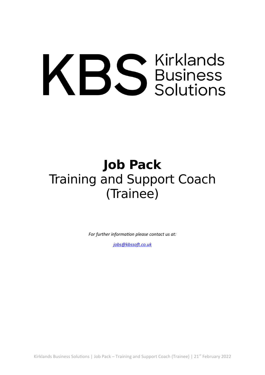# KBS Susiness

# **Job Pack** Training and Support Coach (Trainee)

*For further information please contact us at:*

*[jobs@kbssoft.co.uk](mailto:jobs@kbssoft.co.uk)*

Kirklands Business Solutions | Job Pack – Training and Support Coach (Trainee) | 21<sup>st</sup> February 2022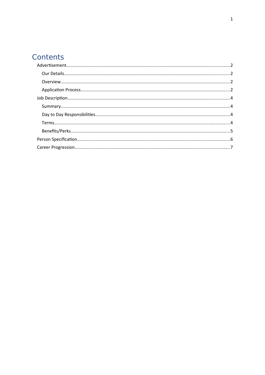## Contents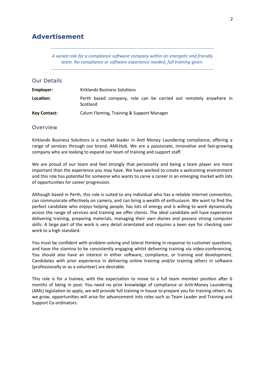#### <span id="page-2-0"></span>**Advertisement**

*A varied role for a compliance software company within an energetic and friendly team. No compliance or software experience needed, full training given.*

#### <span id="page-2-1"></span>Our Details

| Employer:           | Kirklands Business Solutions                                                  |  |  |
|---------------------|-------------------------------------------------------------------------------|--|--|
| Location:           | Perth based company, role can be carried out remotely anywhere in<br>Scotland |  |  |
| <b>Key Contact:</b> | Calum Fleming, Training & Support Manager                                     |  |  |

#### <span id="page-2-2"></span>Overview

Kirklands Business Solutions is a market leader in Anti Money Laundering compliance, offering a range of services through our brand, AMLHub. We are a passionate, innovative and fast-growing company who are looking to expand our team of training and support staff.

We are proud of our team and feel strongly that personality and being a team player are more important than the experience you may have. We have worked to create a welcoming environment and this role has potential for someone who wants to carve a career in an emerging market with lots of opportunities for career progression.

Although based in Perth, this role is suited to any individual who has a reliable internet connection, can communicate effectively on camera, and can bring a wealth of enthusiasm. We want to find the perfect candidate who enjoys helping people, has lots of energy and is willing to work dynamically across the range of services and training we offer clients. The ideal candidate will have experience delivering training, preparing materials, managing their own diaries and possess strong computer skills. A large part of the work is very detail orientated and requires a keen eye for checking over work to a high standard.

You must be confident with problem-solving and lateral thinking in response to customer questions, and have the stamina to be consistently engaging whilst delivering training via video-conferencing. You should also have an interest in either software, compliance, or training and development. Candidates with prior experience in delivering online training and/or training others in software (professionally or as a volunteer) are desirable.

This role is for a trainee, with the expectation to move to a full team member position after 6 months of being in post. You need no prior knowledge of compliance or Anti-Money Laundering (AML) legislation to apply, we will provide full training in house to prepare you for training others. As we grow, opportunities will arise for advancement into roles such as Team Leader and Training and Support Co-ordinators.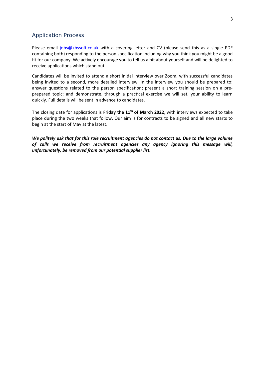#### <span id="page-3-0"></span>Application Process

Please email [jobs@kbssoft.co.uk](mailto:jobs@kbssoft.co.uk) with a covering letter and CV (please send this as a single PDF containing both) responding to the person specification including why you think you might be a good fit for our company. We actively encourage you to tell us a bit about yourself and will be delighted to receive applications which stand out.

Candidates will be invited to attend a short initial interview over Zoom, with successful candidates being invited to a second, more detailed interview. In the interview you should be prepared to: answer questions related to the person specification; present a short training session on a preprepared topic; and demonstrate, through a practical exercise we will set, your ability to learn quickly. Full details will be sent in advance to candidates.

The closing date for applications is **Friday the 11th of March 2022**, with interviews expected to take place during the two weeks that follow. Our aim is for contracts to be signed and all new starts to begin at the start of May at the latest.

*We politely ask that for this role recruitment agencies do not contact us. Due to the large volume of calls we receive from recruitment agencies any agency ignoring this message will, unfortunately, be removed from our potential supplier list.*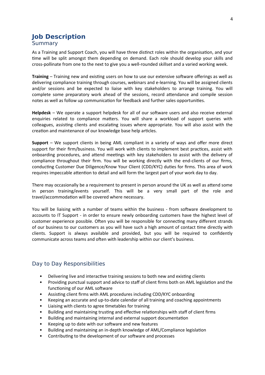#### <span id="page-4-1"></span><span id="page-4-0"></span>**Job Description** Summary

As a Training and Support Coach, you will have three distinct roles within the organisation, and your time will be split amongst them depending on demand. Each role should develop your skills and cross-pollinate from one to the next to give you a well-rounded skillset and a varied working week.

**Training** – Training new and existing users on how to use our extensive software offerings as well as delivering compliance training through courses, webinars and e-learning. You will be assigned clients and/or sessions and be expected to liaise with key stakeholders to arrange training. You will complete some preparatory work ahead of the sessions, record attendance and compile session notes as well as follow up communication for feedback and further sales opportunities.

**Helpdesk** – We operate a support helpdesk for all of our software users and also receive external enquiries related to compliance matters. You will share a workload of support queries with colleagues, assisting clients and escalating issues where appropriate. You will also assist with the creation and maintenance of our knowledge base help articles.

**Support** – We support clients in being AML compliant in a variety of ways and offer more direct support for their firm/business. You will work with clients to implement best practices, assist with onboarding procedures, and attend meetings with key stakeholders to assist with the delivery of compliance throughout their firm. You will be working directly with the end-clients of our firms, conducting Customer Due Diligence/Know Your Client (CDD/KYC) duties for firms. This area of work requires impeccable attention to detail and will form the largest part of your work day to day.

There may occasionally be a requirement to present in person around the UK as well as attend some in person training/events yourself. This will be a very small part of the role and travel/accommodation will be covered where necessary.

You will be liaising with a number of teams within the business - from software development to accounts to IT Support - in order to ensure newly onboarding customers have the highest level of customer experience possible. Often you will be responsible for connecting many different strands of our business to our customers as you will have such a high amount of contact time directly with clients. Support is always available and provided, but you will be required to confidently communicate across teams and often with leadership within our client's business.

#### <span id="page-4-2"></span>Day to Day Responsibilities

- Delivering live and interactive training sessions to both new and existing clients
- Providing punctual support and advice to staff of client firms both on AML legislation and the functioning of our AML software
- Assisting client firms with AML procedures including CDD/KYC onboarding
- Keeping an accurate and up-to-date calendar of all training and coaching appointments
- Liaising with clients to agree timetables for training
- Building and maintaining trusting and effective relationships with staff of client firms
- Building and maintaining internal and external support documentation
- Keeping up to date with our software and new features
- Building and maintaining an in-depth knowledge of AML/Compliance legislation
- Contributing to the development of our software and processes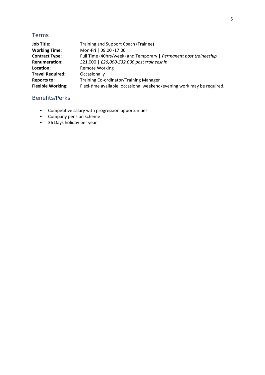#### <span id="page-5-0"></span>Terms

| <b>Job Title:</b>        | Training and Support Coach (Trainee)                                   |
|--------------------------|------------------------------------------------------------------------|
| <b>Working Time:</b>     | Mon-Fri   09:00 -17:00                                                 |
| <b>Contract Type:</b>    | Full Time (40hrs/week) and Temporary   Permanent post traineeship      |
| <b>Renumeration:</b>     | £21,000   £26,000-£32,000 post traineeship                             |
| Location:                | <b>Remote Working</b>                                                  |
| <b>Travel Required:</b>  | Occasionally                                                           |
| <b>Reports to:</b>       | Training Co-ordinator/Training Manager                                 |
| <b>Flexible Working:</b> | Flexi-time available, occasional weekend/evening work may be required. |

#### <span id="page-5-1"></span>Benefits/Perks

- Competitive salary with progression opportunities
- Company pension scheme
- 36 Days holiday per year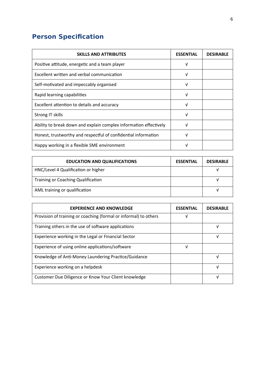### <span id="page-6-0"></span>**Person Specification**

| <b>SKILLS AND ATTRIBUTES</b>                                      | <b>ESSENTIAL</b> | <b>DESIRABLE</b> |
|-------------------------------------------------------------------|------------------|------------------|
| Positive attitude, energetic and a team player                    | V                |                  |
| Excellent written and verbal communication                        | V                |                  |
| Self-motivated and impeccably organised                           | V                |                  |
| Rapid learning capabilities                                       | V                |                  |
| Excellent attention to details and accuracy                       | V                |                  |
| Strong IT skills                                                  | V                |                  |
| Ability to break down and explain complex information effectively | V                |                  |
| Honest, trustworthy and respectful of confidential information    | ν                |                  |
| Happy working in a flexible SME environment                       |                  |                  |

| <b>EDUCATION AND QUALIFICATIONS</b>       | <b>ESSENTIAL</b> | <b>DESIRABLE</b> |
|-------------------------------------------|------------------|------------------|
| HNC/Level 4 Qualification or higher       |                  |                  |
| <b>Training or Coaching Qualification</b> |                  |                  |
| AML training or qualification             |                  |                  |

| <b>EXPERIENCE AND KNOWLEDGE</b>                                  | <b>ESSENTIAL</b> | <b>DESIRABLE</b> |
|------------------------------------------------------------------|------------------|------------------|
| Provision of training or coaching (formal or informal) to others | ν                |                  |
| Training others in the use of software applications              |                  | v                |
| Experience working in the Legal or Financial Sector              |                  |                  |
| Experience of using online applications/software                 | ν                |                  |
| Knowledge of Anti-Money Laundering Practice/Guidance             |                  |                  |
| Experience working on a helpdesk                                 |                  | ν                |
| Customer Due Diligence or Know Your Client knowledge             |                  |                  |